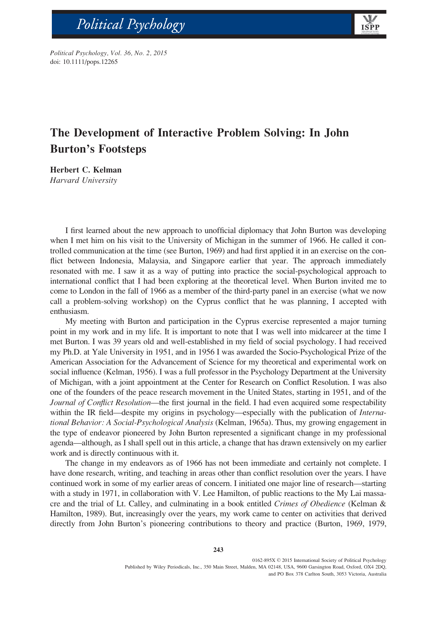Political Psychology, Vol. 36, No. 2, 2015 doi: 10.1111/pops.12265

bs\_bs\_banner

# The Development of Interactive Problem Solving: In John Burton's Footsteps

**ISPI** 

Herbert C. Kelman Harvard University

I first learned about the new approach to unofficial diplomacy that John Burton was developing when I met him on his visit to the University of Michigan in the summer of 1966. He called it controlled communication at the time (see Burton, 1969) and had first applied it in an exercise on the conflict between Indonesia, Malaysia, and Singapore earlier that year. The approach immediately resonated with me. I saw it as a way of putting into practice the social-psychological approach to international conflict that I had been exploring at the theoretical level. When Burton invited me to come to London in the fall of 1966 as a member of the third-party panel in an exercise (what we now call a problem-solving workshop) on the Cyprus conflict that he was planning, I accepted with enthusiasm.

My meeting with Burton and participation in the Cyprus exercise represented a major turning point in my work and in my life. It is important to note that I was well into midcareer at the time I met Burton. I was 39 years old and well-established in my field of social psychology. I had received my Ph.D. at Yale University in 1951, and in 1956 I was awarded the Socio-Psychological Prize of the American Association for the Advancement of Science for my theoretical and experimental work on social influence (Kelman, 1956). I was a full professor in the Psychology Department at the University of Michigan, with a joint appointment at the Center for Research on Conflict Resolution. I was also one of the founders of the peace research movement in the United States, starting in 1951, and of the Journal of Conflict Resolution—the first journal in the field. I had even acquired some respectability within the IR field—despite my origins in psychology—especially with the publication of *Interna*tional Behavior: A Social-Psychological Analysis (Kelman, 1965a). Thus, my growing engagement in the type of endeavor pioneered by John Burton represented a significant change in my professional agenda—although, as I shall spell out in this article, a change that has drawn extensively on my earlier work and is directly continuous with it.

The change in my endeavors as of 1966 has not been immediate and certainly not complete. I have done research, writing, and teaching in areas other than conflict resolution over the years. I have continued work in some of my earlier areas of concern. I initiated one major line of research—starting with a study in 1971, in collaboration with V. Lee Hamilton, of public reactions to the My Lai massacre and the trial of Lt. Calley, and culminating in a book entitled Crimes of Obedience (Kelman & Hamilton, 1989). But, increasingly over the years, my work came to center on activities that derived directly from John Burton's pioneering contributions to theory and practice (Burton, 1969, 1979,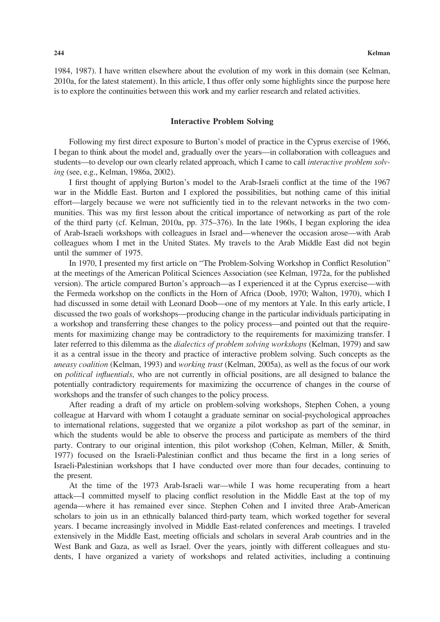1984, 1987). I have written elsewhere about the evolution of my work in this domain (see Kelman, 2010a, for the latest statement). In this article, I thus offer only some highlights since the purpose here is to explore the continuities between this work and my earlier research and related activities.

## Interactive Problem Solving

Following my first direct exposure to Burton's model of practice in the Cyprus exercise of 1966, I began to think about the model and, gradually over the years—in collaboration with colleagues and students—to develop our own clearly related approach, which I came to call interactive problem solving (see, e.g., Kelman, 1986a, 2002).

I first thought of applying Burton's model to the Arab-Israeli conflict at the time of the 1967 war in the Middle East. Burton and I explored the possibilities, but nothing came of this initial effort—largely because we were not sufficiently tied in to the relevant networks in the two communities. This was my first lesson about the critical importance of networking as part of the role of the third party (cf. Kelman, 2010a, pp. 375–376). In the late 1960s, I began exploring the idea of Arab-Israeli workshops with colleagues in Israel and—whenever the occasion arose—with Arab colleagues whom I met in the United States. My travels to the Arab Middle East did not begin until the summer of 1975.

In 1970, I presented my first article on "The Problem-Solving Workshop in Conflict Resolution" at the meetings of the American Political Sciences Association (see Kelman, 1972a, for the published version). The article compared Burton's approach—as I experienced it at the Cyprus exercise—with the Fermeda workshop on the conflicts in the Horn of Africa (Doob, 1970; Walton, 1970), which I had discussed in some detail with Leonard Doob—one of my mentors at Yale. In this early article, I discussed the two goals of workshops—producing change in the particular individuals participating in a workshop and transferring these changes to the policy process—and pointed out that the requirements for maximizing change may be contradictory to the requirements for maximizing transfer. I later referred to this dilemma as the *dialectics of problem solving workshops* (Kelman, 1979) and saw it as a central issue in the theory and practice of interactive problem solving. Such concepts as the uneasy coalition (Kelman, 1993) and working trust (Kelman, 2005a), as well as the focus of our work on political influentials, who are not currently in official positions, are all designed to balance the potentially contradictory requirements for maximizing the occurrence of changes in the course of workshops and the transfer of such changes to the policy process.

After reading a draft of my article on problem-solving workshops, Stephen Cohen, a young colleague at Harvard with whom I cotaught a graduate seminar on social-psychological approaches to international relations, suggested that we organize a pilot workshop as part of the seminar, in which the students would be able to observe the process and participate as members of the third party. Contrary to our original intention, this pilot workshop (Cohen, Kelman, Miller, & Smith, 1977) focused on the Israeli-Palestinian conflict and thus became the first in a long series of Israeli-Palestinian workshops that I have conducted over more than four decades, continuing to the present.

At the time of the 1973 Arab-Israeli war—while I was home recuperating from a heart attack—I committed myself to placing conflict resolution in the Middle East at the top of my agenda—where it has remained ever since. Stephen Cohen and I invited three Arab-American scholars to join us in an ethnically balanced third-party team, which worked together for several years. I became increasingly involved in Middle East-related conferences and meetings. I traveled extensively in the Middle East, meeting officials and scholars in several Arab countries and in the West Bank and Gaza, as well as Israel. Over the years, jointly with different colleagues and students, I have organized a variety of workshops and related activities, including a continuing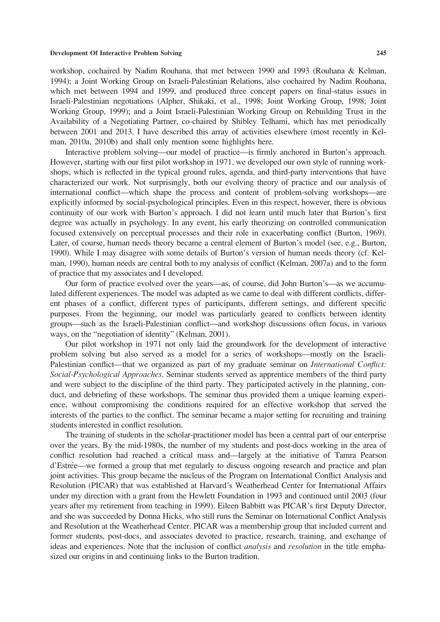workshop, cochaired by Nadim Rouhana, that met between 1990 and 1993 (Rouhana & Kelman, 1994); a Joint Working Group on Israeli-Palestinian Relations, also cochaired by Nadim Rouhana, which met between 1994 and 1999, and produced three concept papers on final-status issues in Israeli-Palestinian negotiations (Alpher, Shikaki, et al., 1998; Joint Working Group, 1998; Joint Working Group, 1999); and a Joint Israeli-Palestinian Working Group on Rebuilding Trust in the Availability of a Negotiating Partner, co-chaired by Shibley Telhami, which has met periodically between 2001 and 2013. I have described this array of activities elsewhere (most recently in Kelman, 2010a, 2010b) and shall only mention some highlights here.

Interactive problem solving—our model of practice—is firmly anchored in Burton's approach. However, starting with our first pilot workshop in 1971, we developed our own style of running workshops, which is reflected in the typical ground rules, agenda, and third-party interventions that have characterized our work. Not surprisingly, both our evolving theory of practice and our analysis of international conflict—which shape the process and content of problem-solving workshops—are explicitly informed by social-psychological principles. Even in this respect, however, there is obvious continuity of our work with Burton's approach. I did not learn until much later that Burton's first degree was actually in psychology. In any event, his early theorizing on controlled communication focused extensively on perceptual processes and their role in exacerbating conflict (Burton, 1969). Later, of course, human needs theory became a central element of Burton's model (see, e.g., Burton, 1990). While I may disagree with some details of Burton's version of human needs theory (cf. Kelman, 1990), human needs are central both to my analysis of conflict (Kelman, 2007a) and to the form of practice that my associates and I developed.

Our form of practice evolved over the years—as, of course, did John Burton's—as we accumulated different experiences. The model was adapted as we came to deal with different conflicts, different phases of a conflict, different types of participants, different settings, and different specific purposes. From the beginning, our model was particularly geared to conflicts between identity groups—such as the Israeli-Palestinian conflict—and workshop discussions often focus, in various ways, on the "negotiation of identity" (Kelman, 2001).

Our pilot workshop in 1971 not only laid the groundwork for the development of interactive problem solving but also served as a model for a series of workshops—mostly on the Israeli-Palestinian conflict—that we organized as part of my graduate seminar on *International Conflict*: Social-Psychological Approaches. Seminar students served as apprentice members of the third party and were subject to the discipline of the third party. They participated actively in the planning, conduct, and debriefing of these workshops. The seminar thus provided them a unique learning experience, without compromising the conditions required for an effective workshop that served the interests of the parties to the conflict. The seminar became a major setting for recruiting and training students interested in conflict resolution.

The training of students in the scholar-practitioner model has been a central part of our enterprise over the years. By the mid-1980s, the number of my students and post-docs working in the area of conflict resolution had reached a critical mass and—largely at the initiative of Tamra Pearson d'Estrée—we formed a group that met regularly to discuss ongoing research and practice and plan joint activities. This group became the nucleus of the Program on International Conflict Analysis and Resolution (PICAR) that was established at Harvard's Weatherhead Center for International Affairs under my direction with a grant from the Hewlett Foundation in 1993 and continued until 2003 (four years after my retirement from teaching in 1999). Eileen Babbitt was PICAR's first Deputy Director, and she was succeeded by Donna Hicks, who still runs the Seminar on International Conflict Analysis and Resolution at the Weatherhead Center. PICAR was a membership group that included current and former students, post-docs, and associates devoted to practice, research, training, and exchange of ideas and experiences. Note that the inclusion of conflict *analysis* and *resolution* in the title emphasized our origins in and continuing links to the Burton tradition.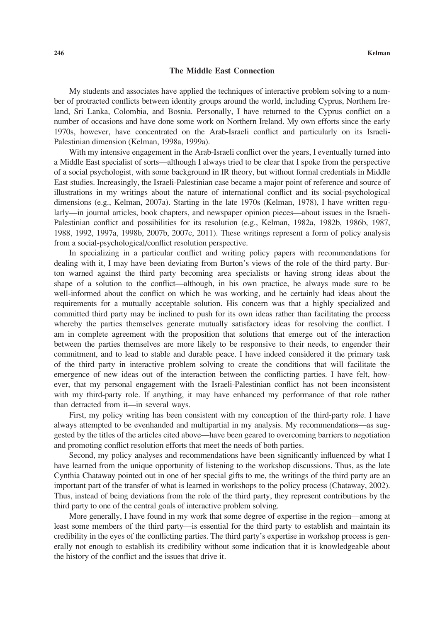### The Middle East Connection

My students and associates have applied the techniques of interactive problem solving to a number of protracted conflicts between identity groups around the world, including Cyprus, Northern Ireland, Sri Lanka, Colombia, and Bosnia. Personally, I have returned to the Cyprus conflict on a number of occasions and have done some work on Northern Ireland. My own efforts since the early 1970s, however, have concentrated on the Arab-Israeli conflict and particularly on its Israeli-Palestinian dimension (Kelman, 1998a, 1999a).

With my intensive engagement in the Arab-Israeli conflict over the years, I eventually turned into a Middle East specialist of sorts—although I always tried to be clear that I spoke from the perspective of a social psychologist, with some background in IR theory, but without formal credentials in Middle East studies. Increasingly, the Israeli-Palestinian case became a major point of reference and source of illustrations in my writings about the nature of international conflict and its social-psychological dimensions (e.g., Kelman, 2007a). Starting in the late 1970s (Kelman, 1978), I have written regularly—in journal articles, book chapters, and newspaper opinion pieces—about issues in the Israeli-Palestinian conflict and possibilities for its resolution (e.g., Kelman, 1982a, 1982b, 1986b, 1987, 1988, 1992, 1997a, 1998b, 2007b, 2007c, 2011). These writings represent a form of policy analysis from a social-psychological/conflict resolution perspective.

In specializing in a particular conflict and writing policy papers with recommendations for dealing with it, I may have been deviating from Burton's views of the role of the third party. Burton warned against the third party becoming area specialists or having strong ideas about the shape of a solution to the conflict—although, in his own practice, he always made sure to be well-informed about the conflict on which he was working, and he certainly had ideas about the requirements for a mutually acceptable solution. His concern was that a highly specialized and committed third party may be inclined to push for its own ideas rather than facilitating the process whereby the parties themselves generate mutually satisfactory ideas for resolving the conflict. I am in complete agreement with the proposition that solutions that emerge out of the interaction between the parties themselves are more likely to be responsive to their needs, to engender their commitment, and to lead to stable and durable peace. I have indeed considered it the primary task of the third party in interactive problem solving to create the conditions that will facilitate the emergence of new ideas out of the interaction between the conflicting parties. I have felt, however, that my personal engagement with the Israeli-Palestinian conflict has not been inconsistent with my third-party role. If anything, it may have enhanced my performance of that role rather than detracted from it—in several ways.

First, my policy writing has been consistent with my conception of the third-party role. I have always attempted to be evenhanded and multipartial in my analysis. My recommendations—as suggested by the titles of the articles cited above—have been geared to overcoming barriers to negotiation and promoting conflict resolution efforts that meet the needs of both parties.

Second, my policy analyses and recommendations have been significantly influenced by what I have learned from the unique opportunity of listening to the workshop discussions. Thus, as the late Cynthia Chataway pointed out in one of her special gifts to me, the writings of the third party are an important part of the transfer of what is learned in workshops to the policy process (Chataway, 2002). Thus, instead of being deviations from the role of the third party, they represent contributions by the third party to one of the central goals of interactive problem solving.

More generally, I have found in my work that some degree of expertise in the region—among at least some members of the third party—is essential for the third party to establish and maintain its credibility in the eyes of the conflicting parties. The third party's expertise in workshop process is generally not enough to establish its credibility without some indication that it is knowledgeable about the history of the conflict and the issues that drive it.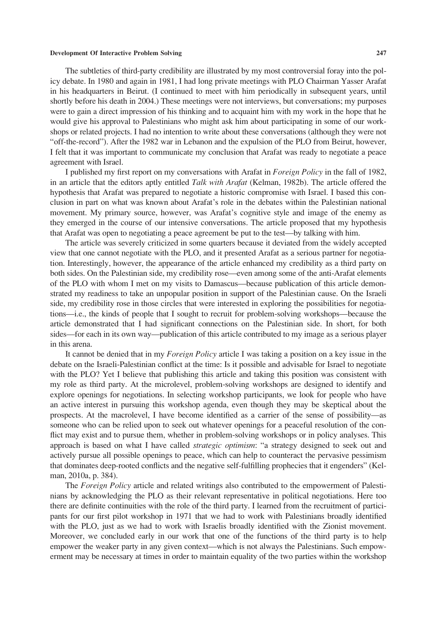The subtleties of third-party credibility are illustrated by my most controversial foray into the policy debate. In 1980 and again in 1981, I had long private meetings with PLO Chairman Yasser Arafat in his headquarters in Beirut. (I continued to meet with him periodically in subsequent years, until shortly before his death in 2004.) These meetings were not interviews, but conversations; my purposes were to gain a direct impression of his thinking and to acquaint him with my work in the hope that he would give his approval to Palestinians who might ask him about participating in some of our workshops or related projects. I had no intention to write about these conversations (although they were not "off-the-record"). After the 1982 war in Lebanon and the expulsion of the PLO from Beirut, however, I felt that it was important to communicate my conclusion that Arafat was ready to negotiate a peace agreement with Israel.

I published my first report on my conversations with Arafat in Foreign Policy in the fall of 1982, in an article that the editors aptly entitled Talk with Arafat (Kelman, 1982b). The article offered the hypothesis that Arafat was prepared to negotiate a historic compromise with Israel. I based this conclusion in part on what was known about Arafat's role in the debates within the Palestinian national movement. My primary source, however, was Arafat's cognitive style and image of the enemy as they emerged in the course of our intensive conversations. The article proposed that my hypothesis that Arafat was open to negotiating a peace agreement be put to the test—by talking with him.

The article was severely criticized in some quarters because it deviated from the widely accepted view that one cannot negotiate with the PLO, and it presented Arafat as a serious partner for negotiation. Interestingly, however, the appearance of the article enhanced my credibility as a third party on both sides. On the Palestinian side, my credibility rose—even among some of the anti-Arafat elements of the PLO with whom I met on my visits to Damascus—because publication of this article demonstrated my readiness to take an unpopular position in support of the Palestinian cause. On the Israeli side, my credibility rose in those circles that were interested in exploring the possibilities for negotiations—i.e., the kinds of people that I sought to recruit for problem-solving workshops—because the article demonstrated that I had significant connections on the Palestinian side. In short, for both sides—for each in its own way—publication of this article contributed to my image as a serious player in this arena.

It cannot be denied that in my Foreign Policy article I was taking a position on a key issue in the debate on the Israeli-Palestinian conflict at the time: Is it possible and advisable for Israel to negotiate with the PLO? Yet I believe that publishing this article and taking this position was consistent with my role as third party. At the microlevel, problem-solving workshops are designed to identify and explore openings for negotiations. In selecting workshop participants, we look for people who have an active interest in pursuing this workshop agenda, even though they may be skeptical about the prospects. At the macrolevel, I have become identified as a carrier of the sense of possibility—as someone who can be relied upon to seek out whatever openings for a peaceful resolution of the conflict may exist and to pursue them, whether in problem-solving workshops or in policy analyses. This approach is based on what I have called *strategic optimism*: "a strategy designed to seek out and actively pursue all possible openings to peace, which can help to counteract the pervasive pessimism that dominates deep-rooted conflicts and the negative self-fulfilling prophecies that it engenders" (Kelman, 2010a, p. 384).

The Foreign Policy article and related writings also contributed to the empowerment of Palestinians by acknowledging the PLO as their relevant representative in political negotiations. Here too there are definite continuities with the role of the third party. I learned from the recruitment of participants for our first pilot workshop in 1971 that we had to work with Palestinians broadly identified with the PLO, just as we had to work with Israelis broadly identified with the Zionist movement. Moreover, we concluded early in our work that one of the functions of the third party is to help empower the weaker party in any given context—which is not always the Palestinians. Such empowerment may be necessary at times in order to maintain equality of the two parties within the workshop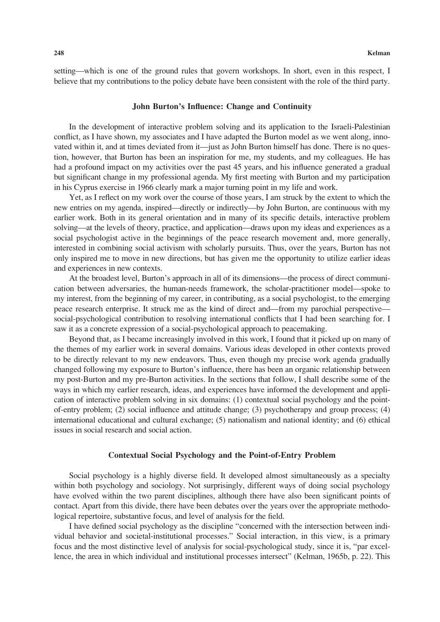setting—which is one of the ground rules that govern workshops. In short, even in this respect, I believe that my contributions to the policy debate have been consistent with the role of the third party.

# John Burton's Influence: Change and Continuity

In the development of interactive problem solving and its application to the Israeli-Palestinian conflict, as I have shown, my associates and I have adapted the Burton model as we went along, innovated within it, and at times deviated from it—just as John Burton himself has done. There is no question, however, that Burton has been an inspiration for me, my students, and my colleagues. He has had a profound impact on my activities over the past 45 years, and his influence generated a gradual but significant change in my professional agenda. My first meeting with Burton and my participation in his Cyprus exercise in 1966 clearly mark a major turning point in my life and work.

Yet, as I reflect on my work over the course of those years, I am struck by the extent to which the new entries on my agenda, inspired—directly or indirectly—by John Burton, are continuous with my earlier work. Both in its general orientation and in many of its specific details, interactive problem solving—at the levels of theory, practice, and application—draws upon my ideas and experiences as a social psychologist active in the beginnings of the peace research movement and, more generally, interested in combining social activism with scholarly pursuits. Thus, over the years, Burton has not only inspired me to move in new directions, but has given me the opportunity to utilize earlier ideas and experiences in new contexts.

At the broadest level, Burton's approach in all of its dimensions—the process of direct communication between adversaries, the human-needs framework, the scholar-practitioner model—spoke to my interest, from the beginning of my career, in contributing, as a social psychologist, to the emerging peace research enterprise. It struck me as the kind of direct and—from my parochial perspective social-psychological contribution to resolving international conflicts that I had been searching for. I saw it as a concrete expression of a social-psychological approach to peacemaking.

Beyond that, as I became increasingly involved in this work, I found that it picked up on many of the themes of my earlier work in several domains. Various ideas developed in other contexts proved to be directly relevant to my new endeavors. Thus, even though my precise work agenda gradually changed following my exposure to Burton's influence, there has been an organic relationship between my post-Burton and my pre-Burton activities. In the sections that follow, I shall describe some of the ways in which my earlier research, ideas, and experiences have informed the development and application of interactive problem solving in six domains: (1) contextual social psychology and the pointof-entry problem; (2) social influence and attitude change; (3) psychotherapy and group process; (4) international educational and cultural exchange; (5) nationalism and national identity; and (6) ethical issues in social research and social action.

### Contextual Social Psychology and the Point-of-Entry Problem

Social psychology is a highly diverse field. It developed almost simultaneously as a specialty within both psychology and sociology. Not surprisingly, different ways of doing social psychology have evolved within the two parent disciplines, although there have also been significant points of contact. Apart from this divide, there have been debates over the years over the appropriate methodological repertoire, substantive focus, and level of analysis for the field.

I have defined social psychology as the discipline "concerned with the intersection between individual behavior and societal-institutional processes." Social interaction, in this view, is a primary focus and the most distinctive level of analysis for social-psychological study, since it is, "par excellence, the area in which individual and institutional processes intersect" (Kelman, 1965b, p. 22). This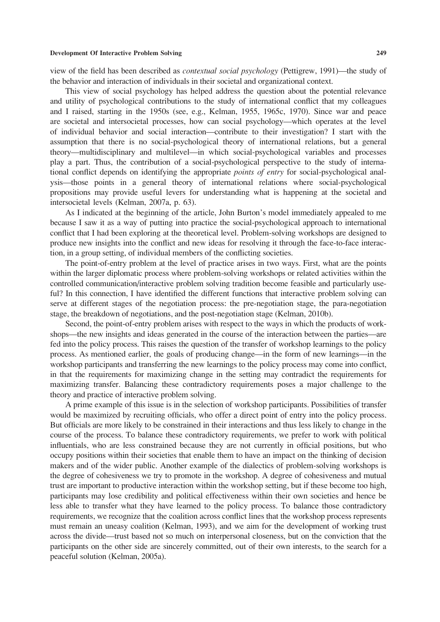view of the field has been described as contextual social psychology (Pettigrew, 1991)—the study of the behavior and interaction of individuals in their societal and organizational context.

This view of social psychology has helped address the question about the potential relevance and utility of psychological contributions to the study of international conflict that my colleagues and I raised, starting in the 1950s (see, e.g., Kelman, 1955, 1965c, 1970). Since war and peace are societal and intersocietal processes, how can social psychology—which operates at the level of individual behavior and social interaction—contribute to their investigation? I start with the assumption that there is no social-psychological theory of international relations, but a general theory—multidisciplinary and multilevel—in which social-psychological variables and processes play a part. Thus, the contribution of a social-psychological perspective to the study of international conflict depends on identifying the appropriate *points of entry* for social-psychological analysis—those points in a general theory of international relations where social-psychological propositions may provide useful levers for understanding what is happening at the societal and intersocietal levels (Kelman, 2007a, p. 63).

As I indicated at the beginning of the article, John Burton's model immediately appealed to me because I saw it as a way of putting into practice the social-psychological approach to international conflict that I had been exploring at the theoretical level. Problem-solving workshops are designed to produce new insights into the conflict and new ideas for resolving it through the face-to-face interaction, in a group setting, of individual members of the conflicting societies.

The point-of-entry problem at the level of practice arises in two ways. First, what are the points within the larger diplomatic process where problem-solving workshops or related activities within the controlled communication/interactive problem solving tradition become feasible and particularly useful? In this connection, I have identified the different functions that interactive problem solving can serve at different stages of the negotiation process: the pre-negotiation stage, the para-negotiation stage, the breakdown of negotiations, and the post-negotiation stage (Kelman, 2010b).

Second, the point-of-entry problem arises with respect to the ways in which the products of workshops—the new insights and ideas generated in the course of the interaction between the parties—are fed into the policy process. This raises the question of the transfer of workshop learnings to the policy process. As mentioned earlier, the goals of producing change—in the form of new learnings—in the workshop participants and transferring the new learnings to the policy process may come into conflict, in that the requirements for maximizing change in the setting may contradict the requirements for maximizing transfer. Balancing these contradictory requirements poses a major challenge to the theory and practice of interactive problem solving.

A prime example of this issue is in the selection of workshop participants. Possibilities of transfer would be maximized by recruiting officials, who offer a direct point of entry into the policy process. But officials are more likely to be constrained in their interactions and thus less likely to change in the course of the process. To balance these contradictory requirements, we prefer to work with political influentials, who are less constrained because they are not currently in official positions, but who occupy positions within their societies that enable them to have an impact on the thinking of decision makers and of the wider public. Another example of the dialectics of problem-solving workshops is the degree of cohesiveness we try to promote in the workshop. A degree of cohesiveness and mutual trust are important to productive interaction within the workshop setting, but if these become too high, participants may lose credibility and political effectiveness within their own societies and hence be less able to transfer what they have learned to the policy process. To balance those contradictory requirements, we recognize that the coalition across conflict lines that the workshop process represents must remain an uneasy coalition (Kelman, 1993), and we aim for the development of working trust across the divide—trust based not so much on interpersonal closeness, but on the conviction that the participants on the other side are sincerely committed, out of their own interests, to the search for a peaceful solution (Kelman, 2005a).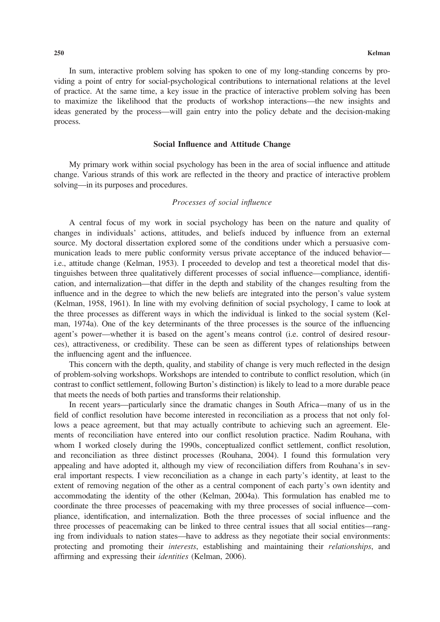In sum, interactive problem solving has spoken to one of my long-standing concerns by providing a point of entry for social-psychological contributions to international relations at the level of practice. At the same time, a key issue in the practice of interactive problem solving has been to maximize the likelihood that the products of workshop interactions—the new insights and ideas generated by the process—will gain entry into the policy debate and the decision-making process.

#### Social Influence and Attitude Change

My primary work within social psychology has been in the area of social influence and attitude change. Various strands of this work are reflected in the theory and practice of interactive problem solving—in its purposes and procedures.

#### Processes of social influence

A central focus of my work in social psychology has been on the nature and quality of changes in individuals' actions, attitudes, and beliefs induced by influence from an external source. My doctoral dissertation explored some of the conditions under which a persuasive communication leads to mere public conformity versus private acceptance of the induced behavior i.e., attitude change (Kelman, 1953). I proceeded to develop and test a theoretical model that distinguishes between three qualitatively different processes of social influence—compliance, identification, and internalization—that differ in the depth and stability of the changes resulting from the influence and in the degree to which the new beliefs are integrated into the person's value system (Kelman, 1958, 1961). In line with my evolving definition of social psychology, I came to look at the three processes as different ways in which the individual is linked to the social system (Kelman, 1974a). One of the key determinants of the three processes is the source of the influencing agent's power—whether it is based on the agent's means control (i.e. control of desired resources), attractiveness, or credibility. These can be seen as different types of relationships between the influencing agent and the influencee.

This concern with the depth, quality, and stability of change is very much reflected in the design of problem-solving workshops. Workshops are intended to contribute to conflict resolution, which (in contrast to conflict settlement, following Burton's distinction) is likely to lead to a more durable peace that meets the needs of both parties and transforms their relationship.

In recent years—particularly since the dramatic changes in South Africa—many of us in the field of conflict resolution have become interested in reconciliation as a process that not only follows a peace agreement, but that may actually contribute to achieving such an agreement. Elements of reconciliation have entered into our conflict resolution practice. Nadim Rouhana, with whom I worked closely during the 1990s, conceptualized conflict settlement, conflict resolution, and reconciliation as three distinct processes (Rouhana, 2004). I found this formulation very appealing and have adopted it, although my view of reconciliation differs from Rouhana's in several important respects. I view reconciliation as a change in each party's identity, at least to the extent of removing negation of the other as a central component of each party's own identity and accommodating the identity of the other (Kelman, 2004a). This formulation has enabled me to coordinate the three processes of peacemaking with my three processes of social influence—compliance, identification, and internalization. Both the three processes of social influence and the three processes of peacemaking can be linked to three central issues that all social entities—ranging from individuals to nation states—have to address as they negotiate their social environments: protecting and promoting their interests, establishing and maintaining their relationships, and affirming and expressing their identities (Kelman, 2006).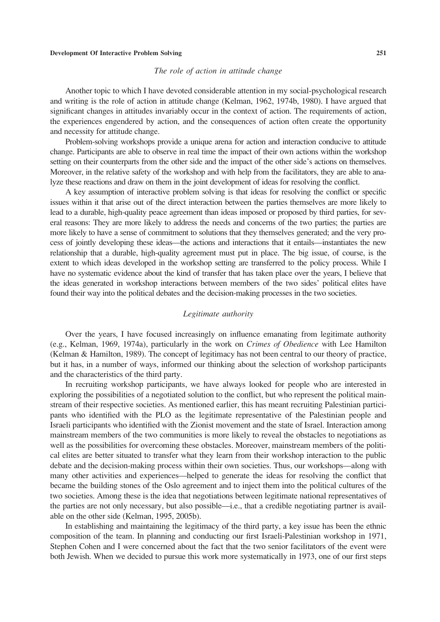## The role of action in attitude change

Another topic to which I have devoted considerable attention in my social-psychological research and writing is the role of action in attitude change (Kelman, 1962, 1974b, 1980). I have argued that significant changes in attitudes invariably occur in the context of action. The requirements of action, the experiences engendered by action, and the consequences of action often create the opportunity and necessity for attitude change.

Problem-solving workshops provide a unique arena for action and interaction conducive to attitude change. Participants are able to observe in real time the impact of their own actions within the workshop setting on their counterparts from the other side and the impact of the other side's actions on themselves. Moreover, in the relative safety of the workshop and with help from the facilitators, they are able to analyze these reactions and draw on them in the joint development of ideas for resolving the conflict.

A key assumption of interactive problem solving is that ideas for resolving the conflict or specific issues within it that arise out of the direct interaction between the parties themselves are more likely to lead to a durable, high-quality peace agreement than ideas imposed or proposed by third parties, for several reasons: They are more likely to address the needs and concerns of the two parties; the parties are more likely to have a sense of commitment to solutions that they themselves generated; and the very process of jointly developing these ideas—the actions and interactions that it entails—instantiates the new relationship that a durable, high-quality agreement must put in place. The big issue, of course, is the extent to which ideas developed in the workshop setting are transferred to the policy process. While I have no systematic evidence about the kind of transfer that has taken place over the years, I believe that the ideas generated in workshop interactions between members of the two sides' political elites have found their way into the political debates and the decision-making processes in the two societies.

## Legitimate authority

Over the years, I have focused increasingly on influence emanating from legitimate authority (e.g., Kelman, 1969, 1974a), particularly in the work on Crimes of Obedience with Lee Hamilton (Kelman & Hamilton, 1989). The concept of legitimacy has not been central to our theory of practice, but it has, in a number of ways, informed our thinking about the selection of workshop participants and the characteristics of the third party.

In recruiting workshop participants, we have always looked for people who are interested in exploring the possibilities of a negotiated solution to the conflict, but who represent the political mainstream of their respective societies. As mentioned earlier, this has meant recruiting Palestinian participants who identified with the PLO as the legitimate representative of the Palestinian people and Israeli participants who identified with the Zionist movement and the state of Israel. Interaction among mainstream members of the two communities is more likely to reveal the obstacles to negotiations as well as the possibilities for overcoming these obstacles. Moreover, mainstream members of the political elites are better situated to transfer what they learn from their workshop interaction to the public debate and the decision-making process within their own societies. Thus, our workshops—along with many other activities and experiences—helped to generate the ideas for resolving the conflict that became the building stones of the Oslo agreement and to inject them into the political cultures of the two societies. Among these is the idea that negotiations between legitimate national representatives of the parties are not only necessary, but also possible—i.e., that a credible negotiating partner is available on the other side (Kelman, 1995, 2005b).

In establishing and maintaining the legitimacy of the third party, a key issue has been the ethnic composition of the team. In planning and conducting our first Israeli-Palestinian workshop in 1971, Stephen Cohen and I were concerned about the fact that the two senior facilitators of the event were both Jewish. When we decided to pursue this work more systematically in 1973, one of our first steps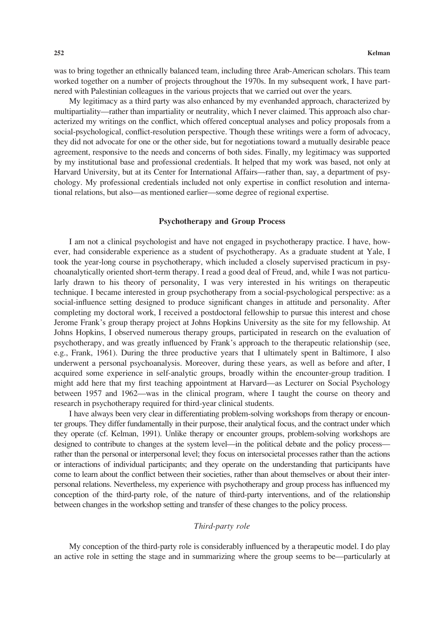was to bring together an ethnically balanced team, including three Arab-American scholars. This team worked together on a number of projects throughout the 1970s. In my subsequent work, I have partnered with Palestinian colleagues in the various projects that we carried out over the years.

My legitimacy as a third party was also enhanced by my evenhanded approach, characterized by multipartiality—rather than impartiality or neutrality, which I never claimed. This approach also characterized my writings on the conflict, which offered conceptual analyses and policy proposals from a social-psychological, conflict-resolution perspective. Though these writings were a form of advocacy, they did not advocate for one or the other side, but for negotiations toward a mutually desirable peace agreement, responsive to the needs and concerns of both sides. Finally, my legitimacy was supported by my institutional base and professional credentials. It helped that my work was based, not only at Harvard University, but at its Center for International Affairs—rather than, say, a department of psychology. My professional credentials included not only expertise in conflict resolution and international relations, but also—as mentioned earlier—some degree of regional expertise.

#### Psychotherapy and Group Process

I am not a clinical psychologist and have not engaged in psychotherapy practice. I have, however, had considerable experience as a student of psychotherapy. As a graduate student at Yale, I took the year-long course in psychotherapy, which included a closely supervised practicum in psychoanalytically oriented short-term therapy. I read a good deal of Freud, and, while I was not particularly drawn to his theory of personality, I was very interested in his writings on therapeutic technique. I became interested in group psychotherapy from a social-psychological perspective: as a social-influence setting designed to produce significant changes in attitude and personality. After completing my doctoral work, I received a postdoctoral fellowship to pursue this interest and chose Jerome Frank's group therapy project at Johns Hopkins University as the site for my fellowship. At Johns Hopkins, I observed numerous therapy groups, participated in research on the evaluation of psychotherapy, and was greatly influenced by Frank's approach to the therapeutic relationship (see, e.g., Frank, 1961). During the three productive years that I ultimately spent in Baltimore, I also underwent a personal psychoanalysis. Moreover, during these years, as well as before and after, I acquired some experience in self-analytic groups, broadly within the encounter-group tradition. I might add here that my first teaching appointment at Harvard—as Lecturer on Social Psychology between 1957 and 1962—was in the clinical program, where I taught the course on theory and research in psychotherapy required for third-year clinical students.

I have always been very clear in differentiating problem-solving workshops from therapy or encounter groups. They differ fundamentally in their purpose, their analytical focus, and the contract under which they operate (cf. Kelman, 1991). Unlike therapy or encounter groups, problem-solving workshops are designed to contribute to changes at the system level—in the political debate and the policy process rather than the personal or interpersonal level; they focus on intersocietal processes rather than the actions or interactions of individual participants; and they operate on the understanding that participants have come to learn about the conflict between their societies, rather than about themselves or about their interpersonal relations. Nevertheless, my experience with psychotherapy and group process has influenced my conception of the third-party role, of the nature of third-party interventions, and of the relationship between changes in the workshop setting and transfer of these changes to the policy process.

## Third-party role

My conception of the third-party role is considerably influenced by a therapeutic model. I do play an active role in setting the stage and in summarizing where the group seems to be—particularly at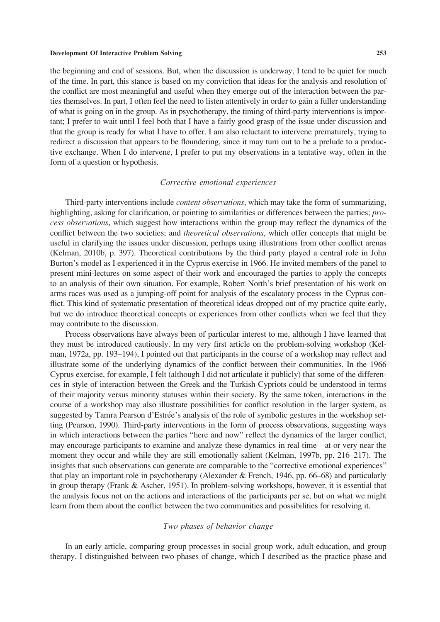the beginning and end of sessions. But, when the discussion is underway, I tend to be quiet for much of the time. In part, this stance is based on my conviction that ideas for the analysis and resolution of the conflict are most meaningful and useful when they emerge out of the interaction between the parties themselves. In part, I often feel the need to listen attentively in order to gain a fuller understanding of what is going on in the group. As in psychotherapy, the timing of third-party interventions is important; I prefer to wait until I feel both that I have a fairly good grasp of the issue under discussion and that the group is ready for what I have to offer. I am also reluctant to intervene prematurely, trying to redirect a discussion that appears to be floundering, since it may turn out to be a prelude to a productive exchange. When I do intervene, I prefer to put my observations in a tentative way, often in the form of a question or hypothesis.

# Corrective emotional experiences

Third-party interventions include content observations, which may take the form of summarizing, highlighting, asking for clarification, or pointing to similarities or differences between the parties; *pro*cess observations, which suggest how interactions within the group may reflect the dynamics of the conflict between the two societies; and *theoretical observations*, which offer concepts that might be useful in clarifying the issues under discussion, perhaps using illustrations from other conflict arenas (Kelman, 2010b, p. 397). Theoretical contributions by the third party played a central role in John Burton's model as I experienced it in the Cyprus exercise in 1966. He invited members of the panel to present mini-lectures on some aspect of their work and encouraged the parties to apply the concepts to an analysis of their own situation. For example, Robert North's brief presentation of his work on arms races was used as a jumping-off point for analysis of the escalatory process in the Cyprus conflict. This kind of systematic presentation of theoretical ideas dropped out of my practice quite early, but we do introduce theoretical concepts or experiences from other conflicts when we feel that they may contribute to the discussion.

Process observations have always been of particular interest to me, although I have learned that they must be introduced cautiously. In my very first article on the problem-solving workshop (Kelman, 1972a, pp. 193–194), I pointed out that participants in the course of a workshop may reflect and illustrate some of the underlying dynamics of the conflict between their communities. In the 1966 Cyprus exercise, for example, I felt (although I did not articulate it publicly) that some of the differences in style of interaction between the Greek and the Turkish Cypriots could be understood in terms of their majority versus minority statuses within their society. By the same token, interactions in the course of a workshop may also illustrate possibilities for conflict resolution in the larger system, as suggested by Tamra Pearson d'Estrée's analysis of the role of symbolic gestures in the workshop setting (Pearson, 1990). Third-party interventions in the form of process observations, suggesting ways in which interactions between the parties "here and now" reflect the dynamics of the larger conflict, may encourage participants to examine and analyze these dynamics in real time—at or very near the moment they occur and while they are still emotionally salient (Kelman, 1997b, pp. 216–217). The insights that such observations can generate are comparable to the "corrective emotional experiences" that play an important role in psychotherapy (Alexander & French, 1946, pp. 66–68) and particularly in group therapy (Frank & Ascher, 1951). In problem-solving workshops, however, it is essential that the analysis focus not on the actions and interactions of the participants per se, but on what we might learn from them about the conflict between the two communities and possibilities for resolving it.

## Two phases of behavior change

In an early article, comparing group processes in social group work, adult education, and group therapy, I distinguished between two phases of change, which I described as the practice phase and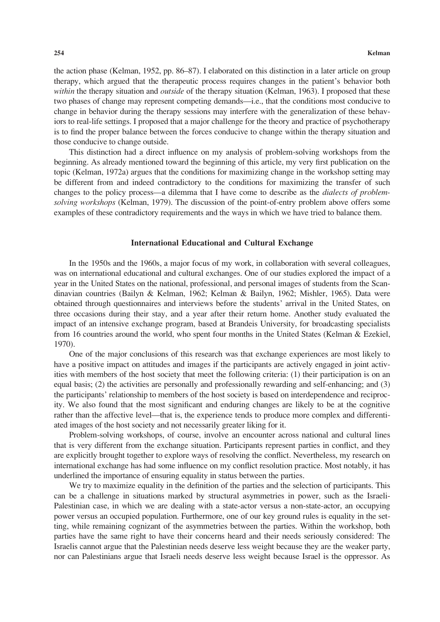the action phase (Kelman, 1952, pp. 86–87). I elaborated on this distinction in a later article on group therapy, which argued that the therapeutic process requires changes in the patient's behavior both within the therapy situation and *outside* of the therapy situation (Kelman, 1963). I proposed that these two phases of change may represent competing demands—i.e., that the conditions most conducive to change in behavior during the therapy sessions may interfere with the generalization of these behaviors to real-life settings. I proposed that a major challenge for the theory and practice of psychotherapy is to find the proper balance between the forces conducive to change within the therapy situation and those conducive to change outside.

This distinction had a direct influence on my analysis of problem-solving workshops from the beginning. As already mentioned toward the beginning of this article, my very first publication on the topic (Kelman, 1972a) argues that the conditions for maximizing change in the workshop setting may be different from and indeed contradictory to the conditions for maximizing the transfer of such changes to the policy process—a dilemma that I have come to describe as the *dialects of problem*solving workshops (Kelman, 1979). The discussion of the point-of-entry problem above offers some examples of these contradictory requirements and the ways in which we have tried to balance them.

## International Educational and Cultural Exchange

In the 1950s and the 1960s, a major focus of my work, in collaboration with several colleagues, was on international educational and cultural exchanges. One of our studies explored the impact of a year in the United States on the national, professional, and personal images of students from the Scandinavian countries (Bailyn & Kelman, 1962; Kelman & Bailyn, 1962; Mishler, 1965). Data were obtained through questionnaires and interviews before the students' arrival in the United States, on three occasions during their stay, and a year after their return home. Another study evaluated the impact of an intensive exchange program, based at Brandeis University, for broadcasting specialists from 16 countries around the world, who spent four months in the United States (Kelman & Ezekiel, 1970).

One of the major conclusions of this research was that exchange experiences are most likely to have a positive impact on attitudes and images if the participants are actively engaged in joint activities with members of the host society that meet the following criteria: (1) their participation is on an equal basis; (2) the activities are personally and professionally rewarding and self-enhancing; and (3) the participants' relationship to members of the host society is based on interdependence and reciprocity. We also found that the most significant and enduring changes are likely to be at the cognitive rather than the affective level—that is, the experience tends to produce more complex and differentiated images of the host society and not necessarily greater liking for it.

Problem-solving workshops, of course, involve an encounter across national and cultural lines that is very different from the exchange situation. Participants represent parties in conflict, and they are explicitly brought together to explore ways of resolving the conflict. Nevertheless, my research on international exchange has had some influence on my conflict resolution practice. Most notably, it has underlined the importance of ensuring equality in status between the parties.

We try to maximize equality in the definition of the parties and the selection of participants. This can be a challenge in situations marked by structural asymmetries in power, such as the Israeli-Palestinian case, in which we are dealing with a state-actor versus a non-state-actor, an occupying power versus an occupied population. Furthermore, one of our key ground rules is equality in the setting, while remaining cognizant of the asymmetries between the parties. Within the workshop, both parties have the same right to have their concerns heard and their needs seriously considered: The Israelis cannot argue that the Palestinian needs deserve less weight because they are the weaker party, nor can Palestinians argue that Israeli needs deserve less weight because Israel is the oppressor. As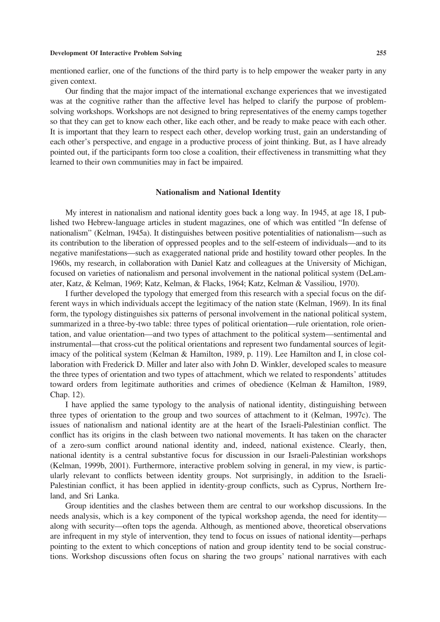mentioned earlier, one of the functions of the third party is to help empower the weaker party in any given context.

Our finding that the major impact of the international exchange experiences that we investigated was at the cognitive rather than the affective level has helped to clarify the purpose of problemsolving workshops. Workshops are not designed to bring representatives of the enemy camps together so that they can get to know each other, like each other, and be ready to make peace with each other. It is important that they learn to respect each other, develop working trust, gain an understanding of each other's perspective, and engage in a productive process of joint thinking. But, as I have already pointed out, if the participants form too close a coalition, their effectiveness in transmitting what they learned to their own communities may in fact be impaired.

#### Nationalism and National Identity

My interest in nationalism and national identity goes back a long way. In 1945, at age 18, I published two Hebrew-language articles in student magazines, one of which was entitled "In defense of nationalism" (Kelman, 1945a). It distinguishes between positive potentialities of nationalism—such as its contribution to the liberation of oppressed peoples and to the self-esteem of individuals—and to its negative manifestations—such as exaggerated national pride and hostility toward other peoples. In the 1960s, my research, in collaboration with Daniel Katz and colleagues at the University of Michigan, focused on varieties of nationalism and personal involvement in the national political system (DeLamater, Katz, & Kelman, 1969; Katz, Kelman, & Flacks, 1964; Katz, Kelman & Vassiliou, 1970).

I further developed the typology that emerged from this research with a special focus on the different ways in which individuals accept the legitimacy of the nation state (Kelman, 1969). In its final form, the typology distinguishes six patterns of personal involvement in the national political system, summarized in a three-by-two table: three types of political orientation—rule orientation, role orientation, and value orientation—and two types of attachment to the political system—sentimental and instrumental—that cross-cut the political orientations and represent two fundamental sources of legitimacy of the political system (Kelman & Hamilton, 1989, p. 119). Lee Hamilton and I, in close collaboration with Frederick D. Miller and later also with John D. Winkler, developed scales to measure the three types of orientation and two types of attachment, which we related to respondents' attitudes toward orders from legitimate authorities and crimes of obedience (Kelman & Hamilton, 1989, Chap. 12).

I have applied the same typology to the analysis of national identity, distinguishing between three types of orientation to the group and two sources of attachment to it (Kelman, 1997c). The issues of nationalism and national identity are at the heart of the Israeli-Palestinian conflict. The conflict has its origins in the clash between two national movements. It has taken on the character of a zero-sum conflict around national identity and, indeed, national existence. Clearly, then, national identity is a central substantive focus for discussion in our Israeli-Palestinian workshops (Kelman, 1999b, 2001). Furthermore, interactive problem solving in general, in my view, is particularly relevant to conflicts between identity groups. Not surprisingly, in addition to the Israeli-Palestinian conflict, it has been applied in identity-group conflicts, such as Cyprus, Northern Ireland, and Sri Lanka.

Group identities and the clashes between them are central to our workshop discussions. In the needs analysis, which is a key component of the typical workshop agenda, the need for identity along with security—often tops the agenda. Although, as mentioned above, theoretical observations are infrequent in my style of intervention, they tend to focus on issues of national identity—perhaps pointing to the extent to which conceptions of nation and group identity tend to be social constructions. Workshop discussions often focus on sharing the two groups' national narratives with each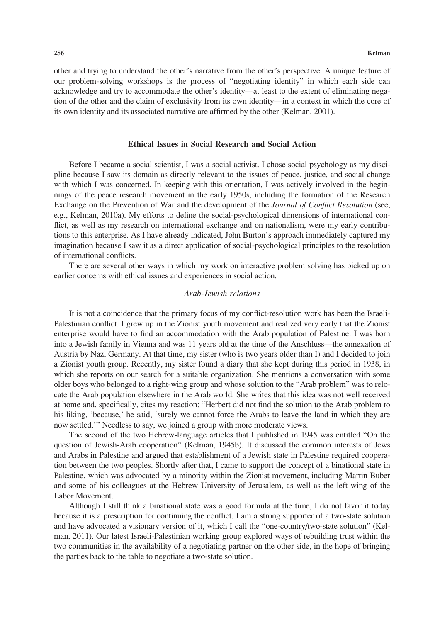other and trying to understand the other's narrative from the other's perspective. A unique feature of our problem-solving workshops is the process of "negotiating identity" in which each side can acknowledge and try to accommodate the other's identity—at least to the extent of eliminating negation of the other and the claim of exclusivity from its own identity—in a context in which the core of its own identity and its associated narrative are affirmed by the other (Kelman, 2001).

## Ethical Issues in Social Research and Social Action

Before I became a social scientist, I was a social activist. I chose social psychology as my discipline because I saw its domain as directly relevant to the issues of peace, justice, and social change with which I was concerned. In keeping with this orientation, I was actively involved in the beginnings of the peace research movement in the early 1950s, including the formation of the Research Exchange on the Prevention of War and the development of the Journal of Conflict Resolution (see, e.g., Kelman, 2010a). My efforts to define the social-psychological dimensions of international conflict, as well as my research on international exchange and on nationalism, were my early contributions to this enterprise. As I have already indicated, John Burton's approach immediately captured my imagination because I saw it as a direct application of social-psychological principles to the resolution of international conflicts.

There are several other ways in which my work on interactive problem solving has picked up on earlier concerns with ethical issues and experiences in social action.

# Arab-Jewish relations

It is not a coincidence that the primary focus of my conflict-resolution work has been the Israeli-Palestinian conflict. I grew up in the Zionist youth movement and realized very early that the Zionist enterprise would have to find an accommodation with the Arab population of Palestine. I was born into a Jewish family in Vienna and was 11 years old at the time of the Anschluss—the annexation of Austria by Nazi Germany. At that time, my sister (who is two years older than I) and I decided to join a Zionist youth group. Recently, my sister found a diary that she kept during this period in 1938, in which she reports on our search for a suitable organization. She mentions a conversation with some older boys who belonged to a right-wing group and whose solution to the "Arab problem" was to relocate the Arab population elsewhere in the Arab world. She writes that this idea was not well received at home and, specifically, cites my reaction: "Herbert did not find the solution to the Arab problem to his liking, 'because,' he said, 'surely we cannot force the Arabs to leave the land in which they are now settled.'" Needless to say, we joined a group with more moderate views.

The second of the two Hebrew-language articles that I published in 1945 was entitled "On the question of Jewish-Arab cooperation" (Kelman, 1945b). It discussed the common interests of Jews and Arabs in Palestine and argued that establishment of a Jewish state in Palestine required cooperation between the two peoples. Shortly after that, I came to support the concept of a binational state in Palestine, which was advocated by a minority within the Zionist movement, including Martin Buber and some of his colleagues at the Hebrew University of Jerusalem, as well as the left wing of the Labor Movement.

Although I still think a binational state was a good formula at the time, I do not favor it today because it is a prescription for continuing the conflict. I am a strong supporter of a two-state solution and have advocated a visionary version of it, which I call the "one-country/two-state solution" (Kelman, 2011). Our latest Israeli-Palestinian working group explored ways of rebuilding trust within the two communities in the availability of a negotiating partner on the other side, in the hope of bringing the parties back to the table to negotiate a two-state solution.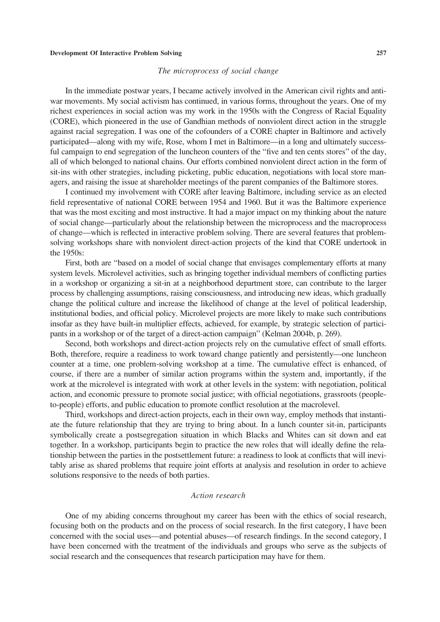## The microprocess of social change

In the immediate postwar years, I became actively involved in the American civil rights and antiwar movements. My social activism has continued, in various forms, throughout the years. One of my richest experiences in social action was my work in the 1950s with the Congress of Racial Equality (CORE), which pioneered in the use of Gandhian methods of nonviolent direct action in the struggle against racial segregation. I was one of the cofounders of a CORE chapter in Baltimore and actively participated—along with my wife, Rose, whom I met in Baltimore—in a long and ultimately successful campaign to end segregation of the luncheon counters of the "five and ten cents stores" of the day, all of which belonged to national chains. Our efforts combined nonviolent direct action in the form of sit-ins with other strategies, including picketing, public education, negotiations with local store managers, and raising the issue at shareholder meetings of the parent companies of the Baltimore stores.

I continued my involvement with CORE after leaving Baltimore, including service as an elected field representative of national CORE between 1954 and 1960. But it was the Baltimore experience that was the most exciting and most instructive. It had a major impact on my thinking about the nature of social change—particularly about the relationship between the microprocess and the macroprocess of change—which is reflected in interactive problem solving. There are several features that problemsolving workshops share with nonviolent direct-action projects of the kind that CORE undertook in the 1950s:

First, both are "based on a model of social change that envisages complementary efforts at many system levels. Microlevel activities, such as bringing together individual members of conflicting parties in a workshop or organizing a sit-in at a neighborhood department store, can contribute to the larger process by challenging assumptions, raising consciousness, and introducing new ideas, which gradually change the political culture and increase the likelihood of change at the level of political leadership, institutional bodies, and official policy. Microlevel projects are more likely to make such contributions insofar as they have built-in multiplier effects, achieved, for example, by strategic selection of participants in a workshop or of the target of a direct-action campaign" (Kelman 2004b, p. 269).

Second, both workshops and direct-action projects rely on the cumulative effect of small efforts. Both, therefore, require a readiness to work toward change patiently and persistently—one luncheon counter at a time, one problem-solving workshop at a time. The cumulative effect is enhanced, of course, if there are a number of similar action programs within the system and, importantly, if the work at the microlevel is integrated with work at other levels in the system: with negotiation, political action, and economic pressure to promote social justice; with official negotiations, grassroots (peopleto-people) efforts, and public education to promote conflict resolution at the macrolevel.

Third, workshops and direct-action projects, each in their own way, employ methods that instantiate the future relationship that they are trying to bring about. In a lunch counter sit-in, participants symbolically create a postsegregation situation in which Blacks and Whites can sit down and eat together. In a workshop, participants begin to practice the new roles that will ideally define the relationship between the parties in the postsettlement future: a readiness to look at conflicts that will inevitably arise as shared problems that require joint efforts at analysis and resolution in order to achieve solutions responsive to the needs of both parties.

## Action research

One of my abiding concerns throughout my career has been with the ethics of social research, focusing both on the products and on the process of social research. In the first category, I have been concerned with the social uses—and potential abuses—of research findings. In the second category, I have been concerned with the treatment of the individuals and groups who serve as the subjects of social research and the consequences that research participation may have for them.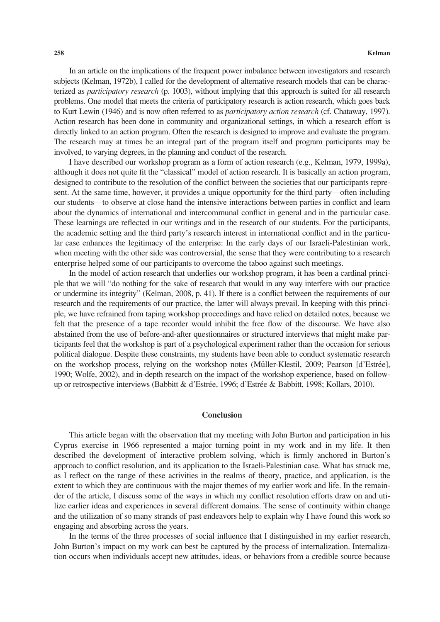In an article on the implications of the frequent power imbalance between investigators and research subjects (Kelman, 1972b), I called for the development of alternative research models that can be characterized as *participatory research* (p. 1003), without implying that this approach is suited for all research problems. One model that meets the criteria of participatory research is action research, which goes back to Kurt Lewin (1946) and is now often referred to as participatory action research (cf. Chataway, 1997). Action research has been done in community and organizational settings, in which a research effort is directly linked to an action program. Often the research is designed to improve and evaluate the program. The research may at times be an integral part of the program itself and program participants may be involved, to varying degrees, in the planning and conduct of the research.

I have described our workshop program as a form of action research (e.g., Kelman, 1979, 1999a), although it does not quite fit the "classical" model of action research. It is basically an action program, designed to contribute to the resolution of the conflict between the societies that our participants represent. At the same time, however, it provides a unique opportunity for the third party—often including our students—to observe at close hand the intensive interactions between parties in conflict and learn about the dynamics of international and intercommunal conflict in general and in the particular case. These learnings are reflected in our writings and in the research of our students. For the participants, the academic setting and the third party's research interest in international conflict and in the particular case enhances the legitimacy of the enterprise: In the early days of our Israeli-Palestinian work, when meeting with the other side was controversial, the sense that they were contributing to a research enterprise helped some of our participants to overcome the taboo against such meetings.

In the model of action research that underlies our workshop program, it has been a cardinal principle that we will "do nothing for the sake of research that would in any way interfere with our practice or undermine its integrity" (Kelman, 2008, p. 41). If there is a conflict between the requirements of our research and the requirements of our practice, the latter will always prevail. In keeping with this principle, we have refrained from taping workshop proceedings and have relied on detailed notes, because we felt that the presence of a tape recorder would inhibit the free flow of the discourse. We have also abstained from the use of before-and-after questionnaires or structured interviews that might make participants feel that the workshop is part of a psychological experiment rather than the occasion for serious political dialogue. Despite these constraints, my students have been able to conduct systematic research on the workshop process, relying on the workshop notes (Müller-Klestil, 2009; Pearson [d'Estrée], 1990; Wolfe, 2002), and in-depth research on the impact of the workshop experience, based on followup or retrospective interviews (Babbitt & d'Estrée, 1996; d'Estrée & Babbitt, 1998; Kollars, 2010).

## Conclusion

This article began with the observation that my meeting with John Burton and participation in his Cyprus exercise in 1966 represented a major turning point in my work and in my life. It then described the development of interactive problem solving, which is firmly anchored in Burton's approach to conflict resolution, and its application to the Israeli-Palestinian case. What has struck me, as I reflect on the range of these activities in the realms of theory, practice, and application, is the extent to which they are continuous with the major themes of my earlier work and life. In the remainder of the article, I discuss some of the ways in which my conflict resolution efforts draw on and utilize earlier ideas and experiences in several different domains. The sense of continuity within change and the utilization of so many strands of past endeavors help to explain why I have found this work so engaging and absorbing across the years.

In the terms of the three processes of social influence that I distinguished in my earlier research, John Burton's impact on my work can best be captured by the process of internalization. Internalization occurs when individuals accept new attitudes, ideas, or behaviors from a credible source because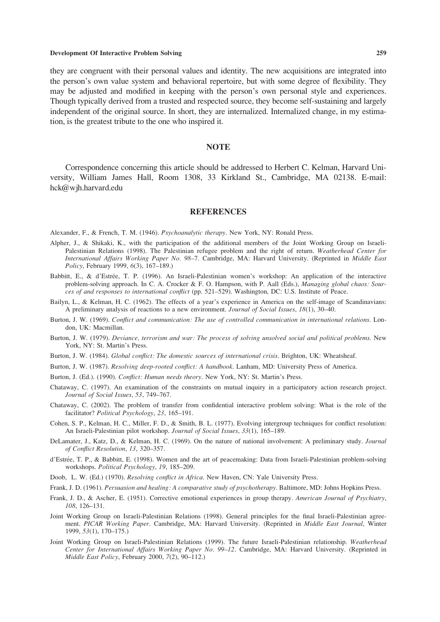they are congruent with their personal values and identity. The new acquisitions are integrated into the person's own value system and behavioral repertoire, but with some degree of flexibility. They may be adjusted and modified in keeping with the person's own personal style and experiences. Though typically derived from a trusted and respected source, they become self-sustaining and largely independent of the original source. In short, they are internalized. Internalized change, in my estimation, is the greatest tribute to the one who inspired it.

#### **NOTE**

Correspondence concerning this article should be addressed to Herbert C. Kelman, Harvard University, William James Hall, Room 1308, 33 Kirkland St., Cambridge, MA 02138. E-mail: hck@wjh.harvard.edu

## **REFERENCES**

Alexander, F., & French, T. M. (1946). Psychoanalytic therapy. New York, NY: Ronald Press.

- Alpher, J., & Shikaki, K., with the participation of the additional members of the Joint Working Group on Israeli-Palestinian Relations (1998). The Palestinian refugee problem and the right of return. Weatherhead Center for International Affairs Working Paper No. 98–7. Cambridge, MA: Harvard University. (Reprinted in Middle East Policy, February 1999, 6(3), 167–189.)
- Babbitt, E., & d'Estrée, T. P. (1996). An Israeli-Palestinian women's workshop: An application of the interactive problem-solving approach. In C. A. Crocker & F. O. Hampson, with P. Aall (Eds.), Managing global chaos: Sources of and responses to international conflict (pp. 521–529). Washington, DC: U.S. Institute of Peace.
- Bailyn, L., & Kelman, H. C. (1962). The effects of a year's experience in America on the self-image of Scandinavians: A preliminary analysis of reactions to a new environment. Journal of Social Issues, 18(1), 30–40.
- Burton, J. W. (1969). Conflict and communication: The use of controlled communication in international relations. London, UK: Macmillan.
- Burton, J. W. (1979). Deviance, terrorism and war: The process of solving unsolved social and political problems. New York, NY: St. Martin's Press.
- Burton, J. W. (1984). Global conflict: The domestic sources of international crisis. Brighton, UK: Wheatsheaf.
- Burton, J. W. (1987). Resolving deep-rooted conflict: A handbook. Lanham, MD: University Press of America.
- Burton, J. (Ed.). (1990). Conflict: Human needs theory. New York, NY: St. Martin's Press.
- Chataway, C. (1997). An examination of the constraints on mutual inquiry in a participatory action research project. Journal of Social Issues, 53, 749–767.
- Chataway, C. (2002). The problem of transfer from confidential interactive problem solving: What is the role of the facilitator? Political Psychology, 23, 165–191.
- Cohen, S. P., Kelman, H. C., Miller, F. D., & Smith, B. L. (1977). Evolving intergroup techniques for conflict resolution: An Israeli-Palestinian pilot workshop. Journal of Social Issues, 33(1), 165-189.
- DeLamater, J., Katz, D., & Kelman, H. C. (1969). On the nature of national involvement: A preliminary study. Journal of Conflict Resolution, 13, 320–357.
- d'Estrée, T. P., & Babbitt, E. (1998). Women and the art of peacemaking: Data from Israeli-Palestinian problem-solving workshops. Political Psychology, 19, 185–209.
- Doob, L. W. (Ed.) (1970). Resolving conflict in Africa. New Haven, CN: Yale University Press.
- Frank, J. D. (1961). Persuasion and healing: A comparative study of psychotherapy. Baltimore, MD: Johns Hopkins Press.
- Frank, J. D., & Ascher, E. (1951). Corrective emotional experiences in group therapy. American Journal of Psychiatry, 108, 126–131.
- Joint Working Group on Israeli-Palestinian Relations (1998). General principles for the final Israeli-Palestinian agreement. PICAR Working Paper. Cambridge, MA: Harvard University. (Reprinted in Middle East Journal, Winter 1999, 53(1), 170–175.)
- Joint Working Group on Israeli-Palestinian Relations (1999). The future Israeli-Palestinian relationship. Weatherhead Center for International Affairs Working Paper No. 99–12. Cambridge, MA: Harvard University. (Reprinted in Middle East Policy, February 2000, 7(2), 90–112.)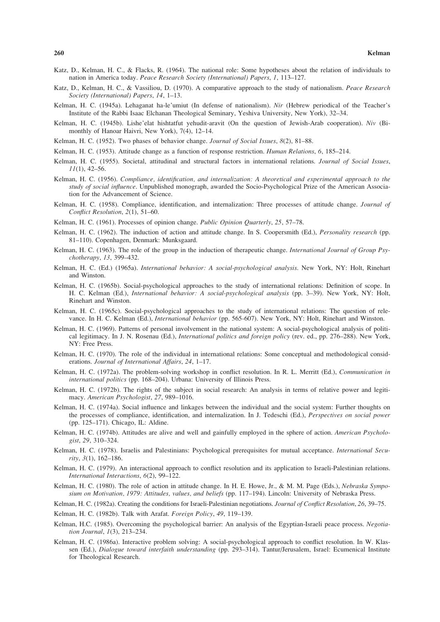- Katz, D., Kelman, H. C., & Flacks, R. (1964). The national role: Some hypotheses about the relation of individuals to nation in America today. Peace Research Society (International) Papers, 1, 113–127.
- Katz, D., Kelman, H. C., & Vassiliou, D. (1970). A comparative approach to the study of nationalism. Peace Research Society (International) Papers, 14, 1–13.
- Kelman, H. C. (1945a). Lehaganat ha-le'umiut (In defense of nationalism). Nir (Hebrew periodical of the Teacher's Institute of the Rabbi Isaac Elchanan Theological Seminary, Yeshiva University, New York), 32–34.
- Kelman, H. C. (1945b). Lishe'elat hishtatfut yehudit-aravit (On the question of Jewish-Arab cooperation). Niv (Bimonthly of Hanoar Haivri, New York), 7(4), 12–14.
- Kelman, H. C. (1952). Two phases of behavior change. Journal of Social Issues, 8(2), 81–88.
- Kelman, H. C. (1953). Attitude change as a function of response restriction. Human Relations, 6, 185–214.
- Kelman, H. C. (1955). Societal, attitudinal and structural factors in international relations. Journal of Social Issues,  $11(1)$ , 42–56.
- Kelman, H. C. (1956). Compliance, identification, and internalization: A theoretical and experimental approach to the study of social influence. Unpublished monograph, awarded the Socio-Psychological Prize of the American Association for the Advancement of Science.
- Kelman, H. C. (1958). Compliance, identification, and internalization: Three processes of attitude change. Journal of Conflict Resolution, 2(1), 51–60.
- Kelman, H. C. (1961). Processes of opinion change. Public Opinion Quarterly, 25, 57-78.
- Kelman, H. C. (1962). The induction of action and attitude change. In S. Coopersmith (Ed.), *Personality research* (pp. 81–110). Copenhagen, Denmark: Munksgaard.
- Kelman, H. C. (1963). The role of the group in the induction of therapeutic change. International Journal of Group Psychotherapy, 13, 399–432.
- Kelman, H. C. (Ed.) (1965a). International behavior: A social-psychological analysis. New York, NY: Holt, Rinehart and Winston.
- Kelman, H. C. (1965b). Social-psychological approaches to the study of international relations: Definition of scope. In H. C. Kelman (Ed.), International behavior: A social-psychological analysis (pp. 3–39). New York, NY: Holt, Rinehart and Winston.
- Kelman, H. C. (1965c). Social-psychological approaches to the study of international relations: The question of relevance. In H. C. Kelman (Ed.), International behavior (pp. 565-607). New York, NY: Holt, Rinehart and Winston.
- Kelman, H. C. (1969). Patterns of personal involvement in the national system: A social-psychological analysis of political legitimacy. In J. N. Rosenau (Ed.), International politics and foreign policy (rev. ed., pp. 276–288). New York, NY: Free Press.
- Kelman, H. C. (1970). The role of the individual in international relations: Some conceptual and methodological considerations. Journal of International Affairs, 24, 1–17.
- Kelman, H. C. (1972a). The problem-solving workshop in conflict resolution. In R. L. Merritt (Ed.), Communication in international politics (pp. 168–204). Urbana: University of Illinois Press.
- Kelman, H. C. (1972b). The rights of the subject in social research: An analysis in terms of relative power and legitimacy. American Psychologist, 27, 989–1016.
- Kelman, H. C. (1974a). Social influence and linkages between the individual and the social system: Further thoughts on the processes of compliance, identification, and internalization. In J. Tedeschi (Ed.), Perspectives on social power (pp. 125–171). Chicago, IL: Aldine.
- Kelman, H. C. (1974b). Attitudes are alive and well and gainfully employed in the sphere of action. American Psychologist, 29, 310–324.
- Kelman, H. C. (1978). Israelis and Palestinians: Psychological prerequisites for mutual acceptance. International Security, 3(1), 162–186.
- Kelman, H. C. (1979). An interactional approach to conflict resolution and its application to Israeli-Palestinian relations. International Interactions, 6(2), 99–122.
- Kelman, H. C. (1980). The role of action in attitude change. In H. E. Howe, Jr., & M. M. Page (Eds.), Nebraska Symposium on Motivation, 1979: Attitudes, values, and beliefs (pp. 117-194). Lincoln: University of Nebraska Press.
- Kelman, H. C. (1982a). Creating the conditions for Israeli-Palestinian negotiations. Journal of Conflict Resolution, 26, 39–75.
- Kelman, H. C. (1982b). Talk with Arafat. Foreign Policy, 49, 119-139.
- Kelman, H.C. (1985). Overcoming the psychological barrier: An analysis of the Egyptian-Israeli peace process. Negotiation Journal, 1(3), 213–234.
- Kelman, H. C. (1986a). Interactive problem solving: A social-psychological approach to conflict resolution. In W. Klassen (Ed.), Dialogue toward interfaith understanding (pp. 293-314). Tantur/Jerusalem, Israel: Ecumenical Institute for Theological Research.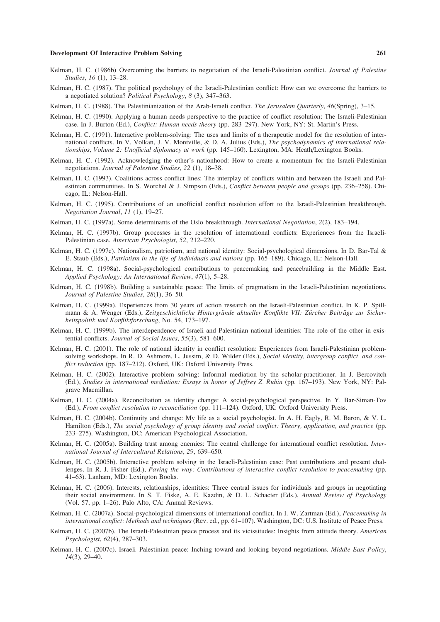- Kelman, H. C. (1986b) Overcoming the barriers to negotiation of the Israeli-Palestinian conflict. Journal of Palestine Studies, 16 (1), 13–28.
- Kelman, H. C. (1987). The political psychology of the Israeli-Palestinian conflict: How can we overcome the barriers to a negotiated solution? Political Psychology, 8 (3), 347–363.
- Kelman, H. C. (1988). The Palestinianization of the Arab-Israeli conflict. The Jerusalem Quarterly, 46(Spring), 3–15.
- Kelman, H. C. (1990). Applying a human needs perspective to the practice of conflict resolution: The Israeli-Palestinian case. In J. Burton (Ed.), Conflict: Human needs theory (pp. 283–297). New York, NY: St. Martin's Press.
- Kelman, H. C. (1991). Interactive problem-solving: The uses and limits of a therapeutic model for the resolution of international conflicts. In V. Volkan, J. V. Montville, & D. A. Julius (Eds.), The psychodynamics of international relationships, Volume 2: Unofficial diplomacy at work (pp. 145–160). Lexington, MA: Heath/Lexington Books.
- Kelman, H. C. (1992). Acknowledging the other's nationhood: How to create a momentum for the Israeli-Palestinian negotiations. Journal of Palestine Studies, 22 (1), 18–38.
- Kelman, H. C. (1993). Coalitions across conflict lines: The interplay of conflicts within and between the Israeli and Palestinian communities. In S. Worchel & J. Simpson (Eds.), Conflict between people and groups (pp. 236–258). Chicago, IL: Nelson-Hall.
- Kelman, H. C. (1995). Contributions of an unofficial conflict resolution effort to the Israeli-Palestinian breakthrough. Negotiation Journal, 11 (1), 19–27.
- Kelman, H. C. (1997a). Some determinants of the Oslo breakthrough. International Negotiation, 2(2), 183–194.
- Kelman, H. C. (1997b). Group processes in the resolution of international conflicts: Experiences from the Israeli-Palestinian case. American Psychologist, 52, 212–220.
- Kelman, H. C. (1997c). Nationalism, patriotism, and national identity: Social-psychological dimensions. In D. Bar-Tal & E. Staub (Eds.), Patriotism in the life of individuals and nations (pp. 165–189). Chicago, IL: Nelson-Hall.
- Kelman, H. C. (1998a). Social-psychological contributions to peacemaking and peacebuilding in the Middle East. Applied Psychology: An International Review, 47(1), 5–28.
- Kelman, H. C. (1998b). Building a sustainable peace: The limits of pragmatism in the Israeli-Palestinian negotiations. Journal of Palestine Studies, 28(1), 36–50.
- Kelman, H. C. (1999a). Experiences from 30 years of action research on the Israeli-Palestinian conflict. In K. P. Spillmann & A. Wenger (Eds.), Zeitgeschichtliche Hintergründe aktueller Konflikte VII: Zürcher Beiträge zur Sicherheitspolitik und Konfliktforschung, No. 54, 173–197.
- Kelman, H. C. (1999b). The interdependence of Israeli and Palestinian national identities: The role of the other in existential conflicts. Journal of Social Issues, 55(3), 581–600.
- Kelman, H. C. (2001). The role of national identity in conflict resolution: Experiences from Israeli-Palestinian problemsolving workshops. In R. D. Ashmore, L. Jussim, & D. Wilder (Eds.), Social identity, intergroup conflict, and conflict reduction (pp. 187-212). Oxford, UK: Oxford University Press.
- Kelman, H. C. (2002). Interactive problem solving: Informal mediation by the scholar-practitioner. In J. Bercovitch (Ed.), Studies in international mediation: Essays in honor of Jeffrey Z. Rubin (pp. 167–193). New York, NY: Palgrave Macmillan.
- Kelman, H. C. (2004a). Reconciliation as identity change: A social-psychological perspective. In Y. Bar-Siman-Tov (Ed.), From conflict resolution to reconciliation (pp. 111–124). Oxford, UK: Oxford University Press.
- Kelman, H. C. (2004b). Continuity and change: My life as a social psychologist. In A. H. Eagly, R. M. Baron, & V. L. Hamilton (Eds.), The social psychology of group identity and social conflict: Theory, application, and practice (pp. 233–275). Washington, DC: American Psychological Association.
- Kelman, H. C. (2005a). Building trust among enemies: The central challenge for international conflict resolution. International Journal of Intercultural Relations, 29, 639–650.
- Kelman, H. C. (2005b). Interactive problem solving in the Israeli-Palestinian case: Past contributions and present challenges. In R. J. Fisher (Ed.), Paving the way: Contributions of interactive conflict resolution to peacemaking (pp. 41–63). Lanham, MD: Lexington Books.
- Kelman, H. C. (2006). Interests, relationships, identities: Three central issues for individuals and groups in negotiating their social environment. In S. T. Fiske, A. E. Kazdin, & D. L. Schacter (Eds.), Annual Review of Psychology (Vol. 57, pp. 1–26). Palo Alto, CA: Annual Reviews.
- Kelman, H. C. (2007a). Social-psychological dimensions of international conflict. In I. W. Zartman (Ed.), Peacemaking in international conflict: Methods and techniques (Rev. ed., pp. 61–107). Washington, DC: U.S. Institute of Peace Press.
- Kelman, H. C. (2007b). The Israeli-Palestinian peace process and its vicissitudes: Insights from attitude theory. American Psychologist, 62(4), 287–303.
- Kelman, H. C. (2007c). Israeli–Palestinian peace: Inching toward and looking beyond negotiations. Middle East Policy, 14(3), 29–40.